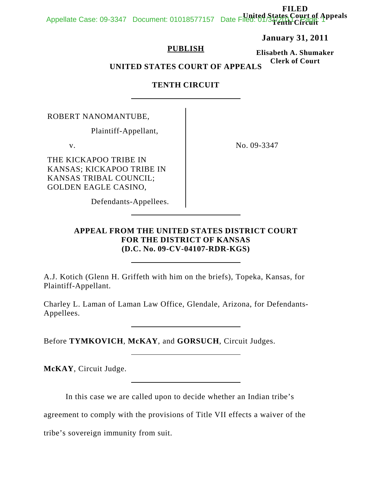## FILED<br><mark>es Court of A</mark>ppeals **United States Court of Appeals** Appellate Case: 09-3347 Document: 01018577157 Date Filed: 01/31/2012 Public 1

**January 31, 2011**

## **PUBLISH**

**Elisabeth A. Shumaker Clerk of Court**

**UNITED STATES COURT OF APPEALS**

## **TENTH CIRCUIT**

ROBERT NANOMANTUBE,

Plaintiff-Appellant,

THE KICKAPOO TRIBE IN KANSAS; KICKAPOO TRIBE IN KANSAS TRIBAL COUNCIL; GOLDEN EAGLE CASINO,

v. No. 09-3347

Defendants-Appellees.

## **APPEAL FROM THE UNITED STATES DISTRICT COURT FOR THE DISTRICT OF KANSAS (D.C. No. 09-CV-04107-RDR-KGS)**

A.J. Kotich (Glenn H. Griffeth with him on the briefs), Topeka, Kansas, for Plaintiff-Appellant.

Charley L. Laman of Laman Law Office, Glendale, Arizona, for Defendants-Appellees.

Before **TYMKOVICH**, **McKAY**, and **GORSUCH**, Circuit Judges.

**McKAY**, Circuit Judge.

In this case we are called upon to decide whether an Indian tribe's

agreement to comply with the provisions of Title VII effects a waiver of the

tribe's sovereign immunity from suit.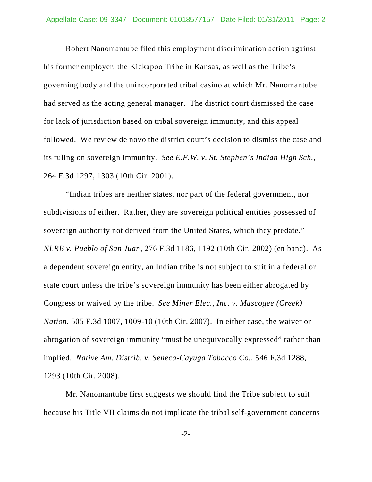Robert Nanomantube filed this employment discrimination action against his former employer, the Kickapoo Tribe in Kansas, as well as the Tribe's governing body and the unincorporated tribal casino at which Mr. Nanomantube had served as the acting general manager. The district court dismissed the case for lack of jurisdiction based on tribal sovereign immunity, and this appeal followed. We review de novo the district court's decision to dismiss the case and its ruling on sovereign immunity. *See E.F.W. v. St. Stephen's Indian High Sch.*, 264 F.3d 1297, 1303 (10th Cir. 2001).

"Indian tribes are neither states, nor part of the federal government, nor subdivisions of either. Rather, they are sovereign political entities possessed of sovereign authority not derived from the United States, which they predate." *NLRB v. Pueblo of San Juan*, 276 F.3d 1186, 1192 (10th Cir. 2002) (en banc). As a dependent sovereign entity, an Indian tribe is not subject to suit in a federal or state court unless the tribe's sovereign immunity has been either abrogated by Congress or waived by the tribe. *See Miner Elec., Inc. v. Muscogee (Creek) Nation*, 505 F.3d 1007, 1009-10 (10th Cir. 2007). In either case, the waiver or abrogation of sovereign immunity "must be unequivocally expressed" rather than implied. *Native Am. Distrib. v. Seneca-Cayuga Tobacco Co.*, 546 F.3d 1288, 1293 (10th Cir. 2008).

Mr. Nanomantube first suggests we should find the Tribe subject to suit because his Title VII claims do not implicate the tribal self-government concerns

-2-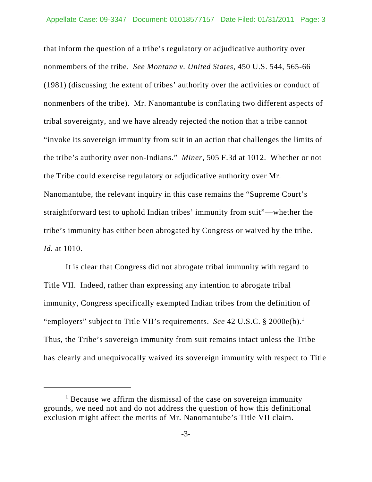that inform the question of a tribe's regulatory or adjudicative authority over nonmembers of the tribe. *See Montana v. United States*, 450 U.S. 544, 565-66 (1981) (discussing the extent of tribes' authority over the activities or conduct of nonmenbers of the tribe). Mr. Nanomantube is conflating two different aspects of tribal sovereignty, and we have already rejected the notion that a tribe cannot "invoke its sovereign immunity from suit in an action that challenges the limits of the tribe's authority over non-Indians." *Miner*, 505 F.3d at 1012. Whether or not the Tribe could exercise regulatory or adjudicative authority over Mr. Nanomantube, the relevant inquiry in this case remains the "Supreme Court's straightforward test to uphold Indian tribes' immunity from suit"—whether the tribe's immunity has either been abrogated by Congress or waived by the tribe. *Id.* at 1010.

It is clear that Congress did not abrogate tribal immunity with regard to Title VII. Indeed, rather than expressing any intention to abrogate tribal immunity, Congress specifically exempted Indian tribes from the definition of "employers" subject to Title VII's requirements. *See* 42 U.S.C. § 2000e(b).<sup>1</sup> Thus, the Tribe's sovereign immunity from suit remains intact unless the Tribe has clearly and unequivocally waived its sovereign immunity with respect to Title

<sup>&</sup>lt;sup>1</sup> Because we affirm the dismissal of the case on sovereign immunity grounds, we need not and do not address the question of how this definitional exclusion might affect the merits of Mr. Nanomantube's Title VII claim.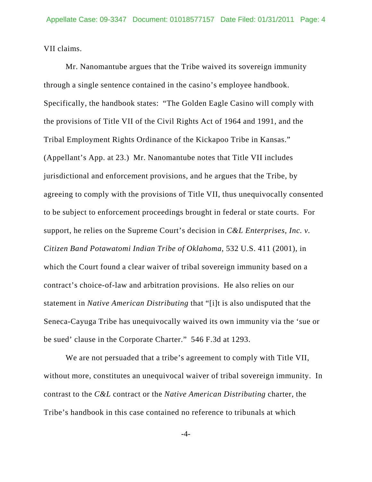VII claims.

Mr. Nanomantube argues that the Tribe waived its sovereign immunity through a single sentence contained in the casino's employee handbook. Specifically, the handbook states: "The Golden Eagle Casino will comply with the provisions of Title VII of the Civil Rights Act of 1964 and 1991, and the Tribal Employment Rights Ordinance of the Kickapoo Tribe in Kansas." (Appellant's App. at 23.) Mr. Nanomantube notes that Title VII includes jurisdictional and enforcement provisions, and he argues that the Tribe, by agreeing to comply with the provisions of Title VII, thus unequivocally consented to be subject to enforcement proceedings brought in federal or state courts. For support, he relies on the Supreme Court's decision in *C&L Enterprises, Inc. v. Citizen Band Potawatomi Indian Tribe of Oklahoma*, 532 U.S. 411 (2001), in which the Court found a clear waiver of tribal sovereign immunity based on a contract's choice-of-law and arbitration provisions. He also relies on our statement in *Native American Distributing* that "[i]t is also undisputed that the Seneca-Cayuga Tribe has unequivocally waived its own immunity via the 'sue or be sued' clause in the Corporate Charter." 546 F.3d at 1293.

We are not persuaded that a tribe's agreement to comply with Title VII, without more, constitutes an unequivocal waiver of tribal sovereign immunity. In contrast to the *C&L* contract or the *Native American Distributing* charter, the Tribe's handbook in this case contained no reference to tribunals at which

-4-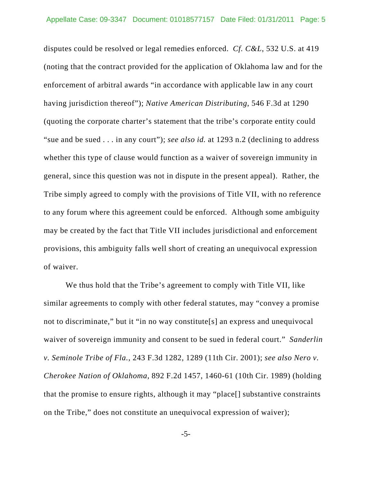disputes could be resolved or legal remedies enforced. *Cf. C&L*, 532 U.S. at 419 (noting that the contract provided for the application of Oklahoma law and for the enforcement of arbitral awards "in accordance with applicable law in any court having jurisdiction thereof"); *Native American Distributing*, 546 F.3d at 1290 (quoting the corporate charter's statement that the tribe's corporate entity could "sue and be sued . . . in any court"); *see also id.* at 1293 n.2 (declining to address whether this type of clause would function as a waiver of sovereign immunity in general, since this question was not in dispute in the present appeal). Rather, the Tribe simply agreed to comply with the provisions of Title VII, with no reference to any forum where this agreement could be enforced. Although some ambiguity may be created by the fact that Title VII includes jurisdictional and enforcement provisions, this ambiguity falls well short of creating an unequivocal expression of waiver.

We thus hold that the Tribe's agreement to comply with Title VII, like similar agreements to comply with other federal statutes, may "convey a promise not to discriminate," but it "in no way constitute[s] an express and unequivocal waiver of sovereign immunity and consent to be sued in federal court." *Sanderlin v. Seminole Tribe of Fla.*, 243 F.3d 1282, 1289 (11th Cir. 2001); *see also Nero v. Cherokee Nation of Oklahoma*, 892 F.2d 1457, 1460-61 (10th Cir. 1989) (holding that the promise to ensure rights, although it may "place[] substantive constraints on the Tribe," does not constitute an unequivocal expression of waiver);

-5-